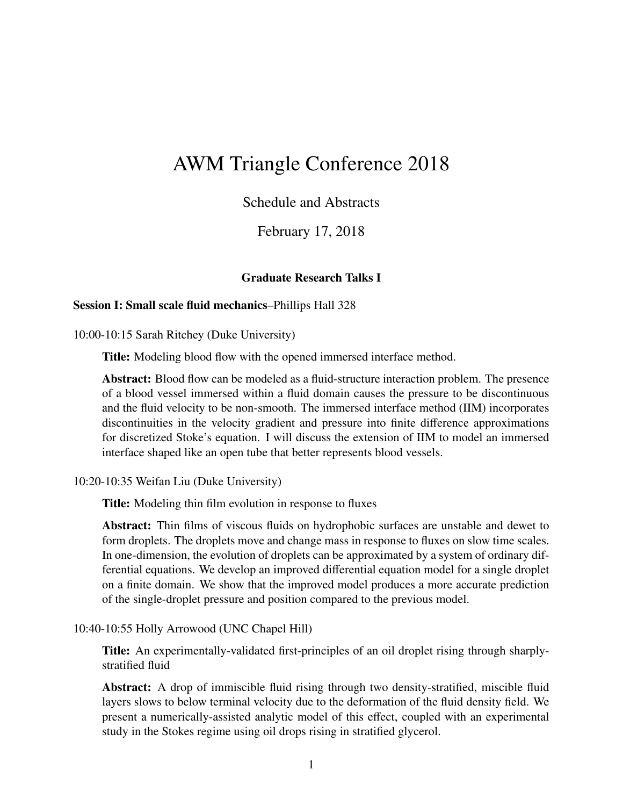# AWM Triangle Conference 2018

# Schedule and Abstracts

# February 17, 2018

#### Graduate Research Talks I

#### Session I: Small scale fluid mechanics–Phillips Hall 328

10:00-10:15 Sarah Ritchey (Duke University)

Title: Modeling blood flow with the opened immersed interface method.

Abstract: Blood flow can be modeled as a fluid-structure interaction problem. The presence of a blood vessel immersed within a fluid domain causes the pressure to be discontinuous and the fluid velocity to be non-smooth. The immersed interface method (IIM) incorporates discontinuities in the velocity gradient and pressure into finite difference approximations for discretized Stoke's equation. I will discuss the extension of IIM to model an immersed interface shaped like an open tube that better represents blood vessels.

10:20-10:35 Weifan Liu (Duke University)

Title: Modeling thin film evolution in response to fluxes

Abstract: Thin films of viscous fluids on hydrophobic surfaces are unstable and dewet to form droplets. The droplets move and change mass in response to fluxes on slow time scales. In one-dimension, the evolution of droplets can be approximated by a system of ordinary differential equations. We develop an improved differential equation model for a single droplet on a finite domain. We show that the improved model produces a more accurate prediction of the single-droplet pressure and position compared to the previous model.

10:40-10:55 Holly Arrowood (UNC Chapel Hill)

Title: An experimentally-validated first-principles of an oil droplet rising through sharplystratified fluid

Abstract: A drop of immiscible fluid rising through two density-stratified, miscible fluid layers slows to below terminal velocity due to the deformation of the fluid density field. We present a numerically-assisted analytic model of this effect, coupled with an experimental study in the Stokes regime using oil drops rising in stratified glycerol.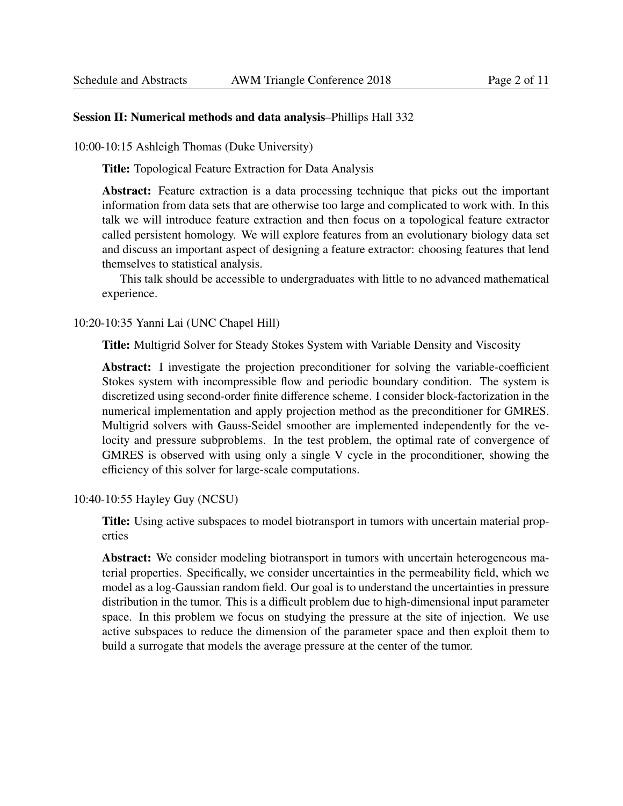#### Session II: Numerical methods and data analysis–Phillips Hall 332

10:00-10:15 Ashleigh Thomas (Duke University)

Title: Topological Feature Extraction for Data Analysis

Abstract: Feature extraction is a data processing technique that picks out the important information from data sets that are otherwise too large and complicated to work with. In this talk we will introduce feature extraction and then focus on a topological feature extractor called persistent homology. We will explore features from an evolutionary biology data set and discuss an important aspect of designing a feature extractor: choosing features that lend themselves to statistical analysis.

This talk should be accessible to undergraduates with little to no advanced mathematical experience.

10:20-10:35 Yanni Lai (UNC Chapel Hill)

Title: Multigrid Solver for Steady Stokes System with Variable Density and Viscosity

Abstract: I investigate the projection preconditioner for solving the variable-coefficient Stokes system with incompressible flow and periodic boundary condition. The system is discretized using second-order finite difference scheme. I consider block-factorization in the numerical implementation and apply projection method as the preconditioner for GMRES. Multigrid solvers with Gauss-Seidel smoother are implemented independently for the velocity and pressure subproblems. In the test problem, the optimal rate of convergence of GMRES is observed with using only a single V cycle in the proconditioner, showing the efficiency of this solver for large-scale computations.

10:40-10:55 Hayley Guy (NCSU)

Title: Using active subspaces to model biotransport in tumors with uncertain material properties

Abstract: We consider modeling biotransport in tumors with uncertain heterogeneous material properties. Specifically, we consider uncertainties in the permeability field, which we model as a log-Gaussian random field. Our goal is to understand the uncertainties in pressure distribution in the tumor. This is a difficult problem due to high-dimensional input parameter space. In this problem we focus on studying the pressure at the site of injection. We use active subspaces to reduce the dimension of the parameter space and then exploit them to build a surrogate that models the average pressure at the center of the tumor.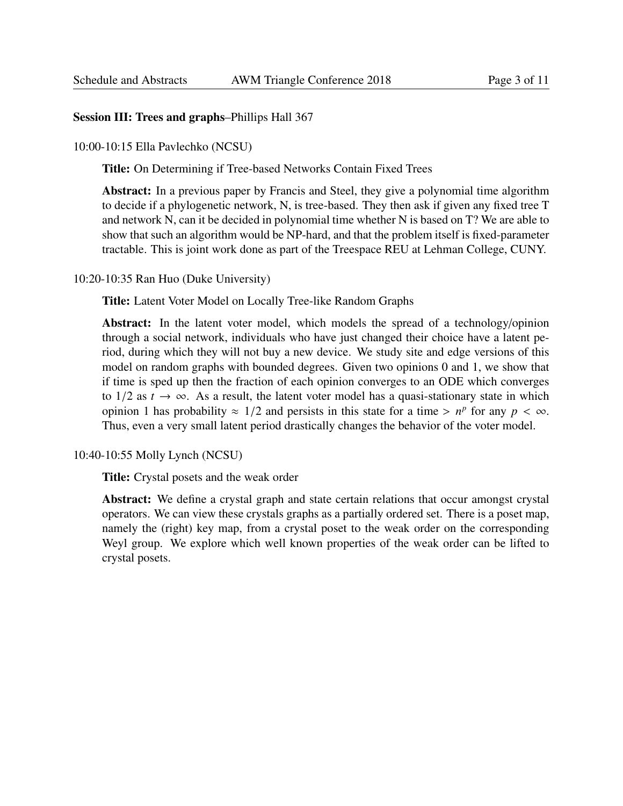## Session III: Trees and graphs–Phillips Hall 367

10:00-10:15 Ella Pavlechko (NCSU)

Title: On Determining if Tree-based Networks Contain Fixed Trees

Abstract: In a previous paper by Francis and Steel, they give a polynomial time algorithm to decide if a phylogenetic network, N, is tree-based. They then ask if given any fixed tree T and network N, can it be decided in polynomial time whether N is based on T? We are able to show that such an algorithm would be NP-hard, and that the problem itself is fixed-parameter tractable. This is joint work done as part of the Treespace REU at Lehman College, CUNY.

10:20-10:35 Ran Huo (Duke University)

Title: Latent Voter Model on Locally Tree-like Random Graphs

Abstract: In the latent voter model, which models the spread of a technology/opinion through a social network, individuals who have just changed their choice have a latent period, during which they will not buy a new device. We study site and edge versions of this model on random graphs with bounded degrees. Given two opinions 0 and 1, we show that if time is sped up then the fraction of each opinion converges to an ODE which converges to  $1/2$  as  $t \to \infty$ . As a result, the latent voter model has a quasi-stationary state in which opinion 1 has probability  $\approx 1/2$  and persists in this state for a time >  $n^p$  for any  $p < \infty$ .<br>Thus even a very small latent period drastically changes the behavior of the voter model Thus, even a very small latent period drastically changes the behavior of the voter model.

10:40-10:55 Molly Lynch (NCSU)

Title: Crystal posets and the weak order

Abstract: We define a crystal graph and state certain relations that occur amongst crystal operators. We can view these crystals graphs as a partially ordered set. There is a poset map, namely the (right) key map, from a crystal poset to the weak order on the corresponding Weyl group. We explore which well known properties of the weak order can be lifted to crystal posets.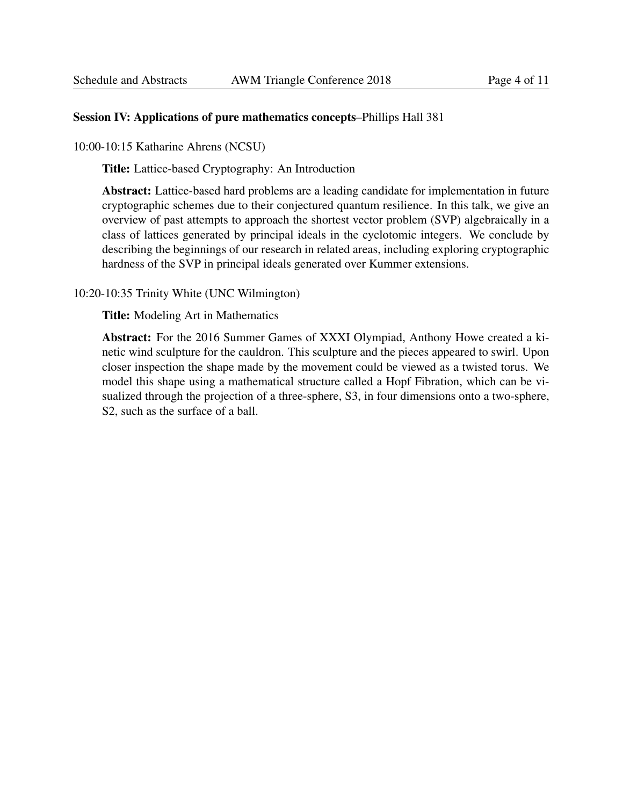#### Session IV: Applications of pure mathematics concepts–Phillips Hall 381

10:00-10:15 Katharine Ahrens (NCSU)

Title: Lattice-based Cryptography: An Introduction

Abstract: Lattice-based hard problems are a leading candidate for implementation in future cryptographic schemes due to their conjectured quantum resilience. In this talk, we give an overview of past attempts to approach the shortest vector problem (SVP) algebraically in a class of lattices generated by principal ideals in the cyclotomic integers. We conclude by describing the beginnings of our research in related areas, including exploring cryptographic hardness of the SVP in principal ideals generated over Kummer extensions.

## 10:20-10:35 Trinity White (UNC Wilmington)

Title: Modeling Art in Mathematics

Abstract: For the 2016 Summer Games of XXXI Olympiad, Anthony Howe created a kinetic wind sculpture for the cauldron. This sculpture and the pieces appeared to swirl. Upon closer inspection the shape made by the movement could be viewed as a twisted torus. We model this shape using a mathematical structure called a Hopf Fibration, which can be visualized through the projection of a three-sphere, S3, in four dimensions onto a two-sphere, S2, such as the surface of a ball.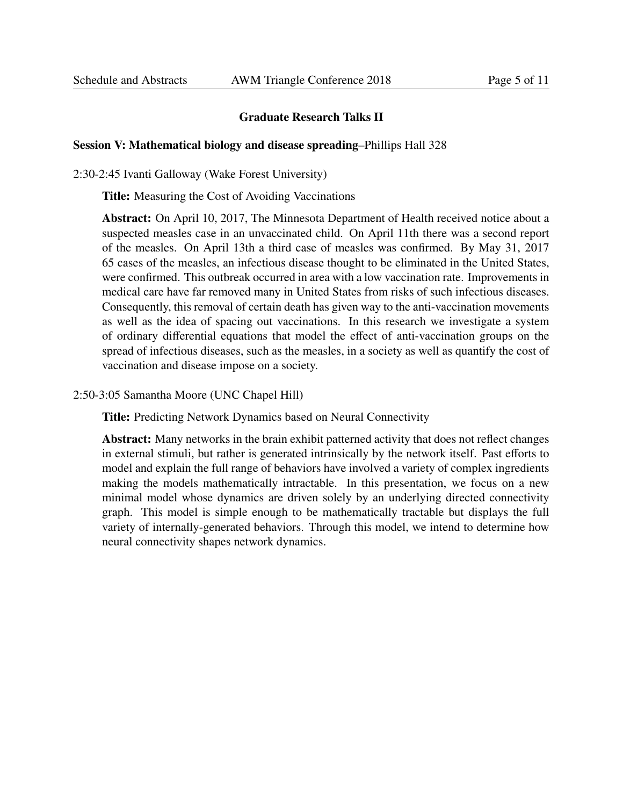## Graduate Research Talks II

## Session V: Mathematical biology and disease spreading–Phillips Hall 328

2:30-2:45 Ivanti Galloway (Wake Forest University)

Title: Measuring the Cost of Avoiding Vaccinations

Abstract: On April 10, 2017, The Minnesota Department of Health received notice about a suspected measles case in an unvaccinated child. On April 11th there was a second report of the measles. On April 13th a third case of measles was confirmed. By May 31, 2017 65 cases of the measles, an infectious disease thought to be eliminated in the United States, were confirmed. This outbreak occurred in area with a low vaccination rate. Improvements in medical care have far removed many in United States from risks of such infectious diseases. Consequently, this removal of certain death has given way to the anti-vaccination movements as well as the idea of spacing out vaccinations. In this research we investigate a system of ordinary differential equations that model the effect of anti-vaccination groups on the spread of infectious diseases, such as the measles, in a society as well as quantify the cost of vaccination and disease impose on a society.

2:50-3:05 Samantha Moore (UNC Chapel Hill)

Title: Predicting Network Dynamics based on Neural Connectivity

Abstract: Many networks in the brain exhibit patterned activity that does not reflect changes in external stimuli, but rather is generated intrinsically by the network itself. Past efforts to model and explain the full range of behaviors have involved a variety of complex ingredients making the models mathematically intractable. In this presentation, we focus on a new minimal model whose dynamics are driven solely by an underlying directed connectivity graph. This model is simple enough to be mathematically tractable but displays the full variety of internally-generated behaviors. Through this model, we intend to determine how neural connectivity shapes network dynamics.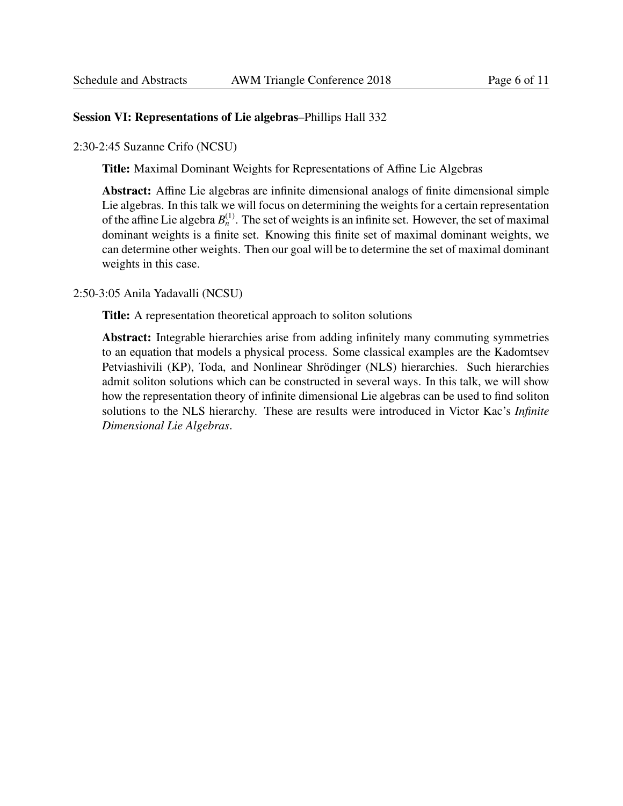## Session VI: Representations of Lie algebras–Phillips Hall 332

2:30-2:45 Suzanne Crifo (NCSU)

Title: Maximal Dominant Weights for Representations of Affine Lie Algebras

Abstract: Affine Lie algebras are infinite dimensional analogs of finite dimensional simple Lie algebras. In this talk we will focus on determining the weights for a certain representation of the affine Lie algebra  $B_n^{(1)}$ . The set of weights is an infinite set. However, the set of maximal dominant weights is a finite set. Knowing this finite set of maximal dominant weights, we can determine other weights. Then our goal will be to determine the set of maximal dominant weights in this case.

2:50-3:05 Anila Yadavalli (NCSU)

Title: A representation theoretical approach to soliton solutions

Abstract: Integrable hierarchies arise from adding infinitely many commuting symmetries to an equation that models a physical process. Some classical examples are the Kadomtsev Petviashivili (KP), Toda, and Nonlinear Shrödinger (NLS) hierarchies. Such hierarchies admit soliton solutions which can be constructed in several ways. In this talk, we will show how the representation theory of infinite dimensional Lie algebras can be used to find soliton solutions to the NLS hierarchy. These are results were introduced in Victor Kac's *Infinite Dimensional Lie Algebras*.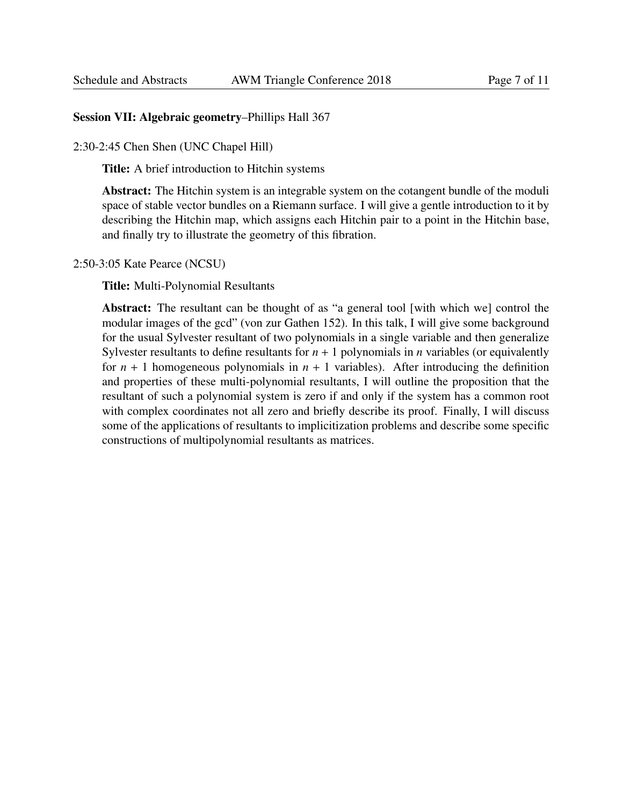## Session VII: Algebraic geometry–Phillips Hall 367

2:30-2:45 Chen Shen (UNC Chapel Hill)

Title: A brief introduction to Hitchin systems

Abstract: The Hitchin system is an integrable system on the cotangent bundle of the moduli space of stable vector bundles on a Riemann surface. I will give a gentle introduction to it by describing the Hitchin map, which assigns each Hitchin pair to a point in the Hitchin base, and finally try to illustrate the geometry of this fibration.

2:50-3:05 Kate Pearce (NCSU)

Title: Multi-Polynomial Resultants

Abstract: The resultant can be thought of as "a general tool [with which we] control the modular images of the gcd" (von zur Gathen 152). In this talk, I will give some background for the usual Sylvester resultant of two polynomials in a single variable and then generalize Sylvester resultants to define resultants for  $n + 1$  polynomials in  $n$  variables (or equivalently for  $n + 1$  homogeneous polynomials in  $n + 1$  variables). After introducing the definition and properties of these multi-polynomial resultants, I will outline the proposition that the resultant of such a polynomial system is zero if and only if the system has a common root with complex coordinates not all zero and briefly describe its proof. Finally, I will discuss some of the applications of resultants to implicitization problems and describe some specific constructions of multipolynomial resultants as matrices.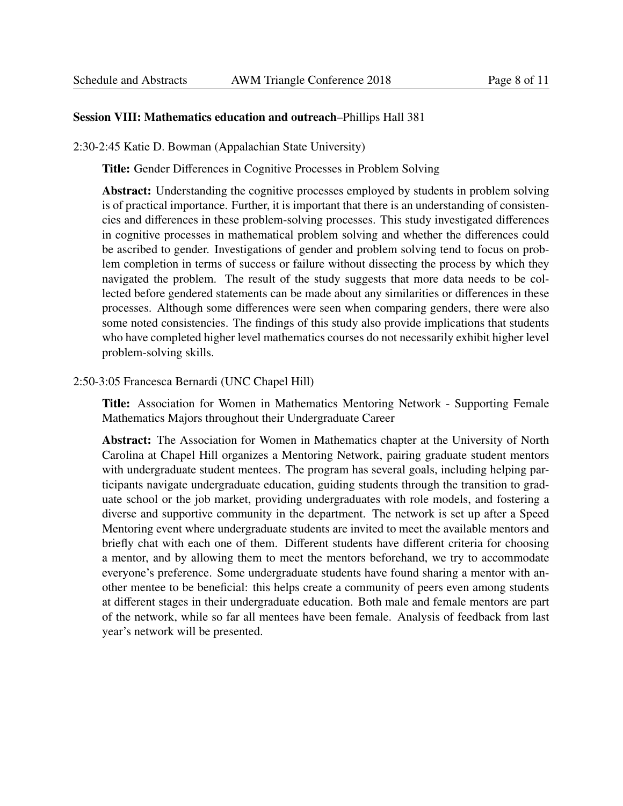## Session VIII: Mathematics education and outreach–Phillips Hall 381

2:30-2:45 Katie D. Bowman (Appalachian State University)

Title: Gender Differences in Cognitive Processes in Problem Solving

Abstract: Understanding the cognitive processes employed by students in problem solving is of practical importance. Further, it is important that there is an understanding of consistencies and differences in these problem-solving processes. This study investigated differences in cognitive processes in mathematical problem solving and whether the differences could be ascribed to gender. Investigations of gender and problem solving tend to focus on problem completion in terms of success or failure without dissecting the process by which they navigated the problem. The result of the study suggests that more data needs to be collected before gendered statements can be made about any similarities or differences in these processes. Although some differences were seen when comparing genders, there were also some noted consistencies. The findings of this study also provide implications that students who have completed higher level mathematics courses do not necessarily exhibit higher level problem-solving skills.

#### 2:50-3:05 Francesca Bernardi (UNC Chapel Hill)

Title: Association for Women in Mathematics Mentoring Network - Supporting Female Mathematics Majors throughout their Undergraduate Career

Abstract: The Association for Women in Mathematics chapter at the University of North Carolina at Chapel Hill organizes a Mentoring Network, pairing graduate student mentors with undergraduate student mentees. The program has several goals, including helping participants navigate undergraduate education, guiding students through the transition to graduate school or the job market, providing undergraduates with role models, and fostering a diverse and supportive community in the department. The network is set up after a Speed Mentoring event where undergraduate students are invited to meet the available mentors and briefly chat with each one of them. Different students have different criteria for choosing a mentor, and by allowing them to meet the mentors beforehand, we try to accommodate everyone's preference. Some undergraduate students have found sharing a mentor with another mentee to be beneficial: this helps create a community of peers even among students at different stages in their undergraduate education. Both male and female mentors are part of the network, while so far all mentees have been female. Analysis of feedback from last year's network will be presented.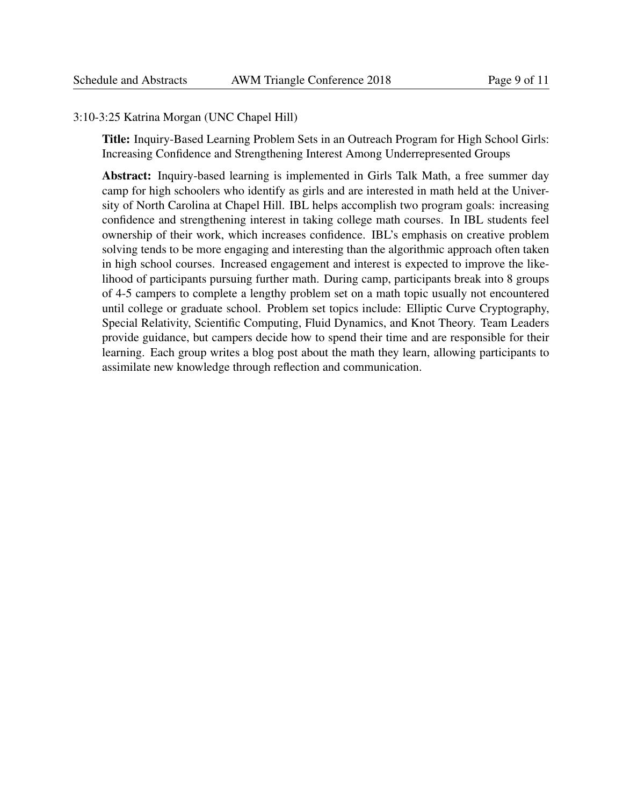#### 3:10-3:25 Katrina Morgan (UNC Chapel Hill)

Title: Inquiry-Based Learning Problem Sets in an Outreach Program for High School Girls: Increasing Confidence and Strengthening Interest Among Underrepresented Groups

Abstract: Inquiry-based learning is implemented in Girls Talk Math, a free summer day camp for high schoolers who identify as girls and are interested in math held at the University of North Carolina at Chapel Hill. IBL helps accomplish two program goals: increasing confidence and strengthening interest in taking college math courses. In IBL students feel ownership of their work, which increases confidence. IBL's emphasis on creative problem solving tends to be more engaging and interesting than the algorithmic approach often taken in high school courses. Increased engagement and interest is expected to improve the likelihood of participants pursuing further math. During camp, participants break into 8 groups of 4-5 campers to complete a lengthy problem set on a math topic usually not encountered until college or graduate school. Problem set topics include: Elliptic Curve Cryptography, Special Relativity, Scientific Computing, Fluid Dynamics, and Knot Theory. Team Leaders provide guidance, but campers decide how to spend their time and are responsible for their learning. Each group writes a blog post about the math they learn, allowing participants to assimilate new knowledge through reflection and communication.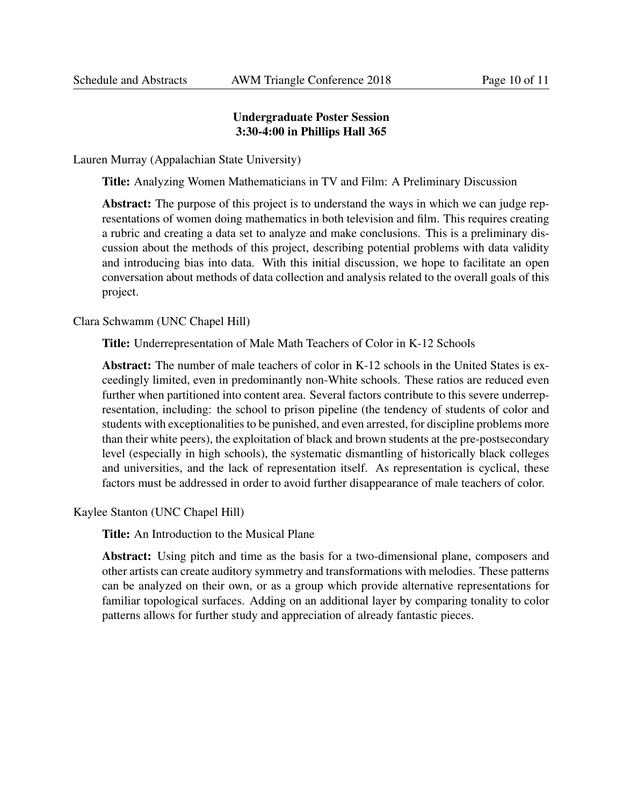# Undergraduate Poster Session 3:30-4:00 in Phillips Hall 365

Lauren Murray (Appalachian State University)

Title: Analyzing Women Mathematicians in TV and Film: A Preliminary Discussion

Abstract: The purpose of this project is to understand the ways in which we can judge representations of women doing mathematics in both television and film. This requires creating a rubric and creating a data set to analyze and make conclusions. This is a preliminary discussion about the methods of this project, describing potential problems with data validity and introducing bias into data. With this initial discussion, we hope to facilitate an open conversation about methods of data collection and analysis related to the overall goals of this project.

Clara Schwamm (UNC Chapel Hill)

Title: Underrepresentation of Male Math Teachers of Color in K-12 Schools

Abstract: The number of male teachers of color in K-12 schools in the United States is exceedingly limited, even in predominantly non-White schools. These ratios are reduced even further when partitioned into content area. Several factors contribute to this severe underrepresentation, including: the school to prison pipeline (the tendency of students of color and students with exceptionalities to be punished, and even arrested, for discipline problems more than their white peers), the exploitation of black and brown students at the pre-postsecondary level (especially in high schools), the systematic dismantling of historically black colleges and universities, and the lack of representation itself. As representation is cyclical, these factors must be addressed in order to avoid further disappearance of male teachers of color.

Kaylee Stanton (UNC Chapel Hill)

Title: An Introduction to the Musical Plane

Abstract: Using pitch and time as the basis for a two-dimensional plane, composers and other artists can create auditory symmetry and transformations with melodies. These patterns can be analyzed on their own, or as a group which provide alternative representations for familiar topological surfaces. Adding on an additional layer by comparing tonality to color patterns allows for further study and appreciation of already fantastic pieces.